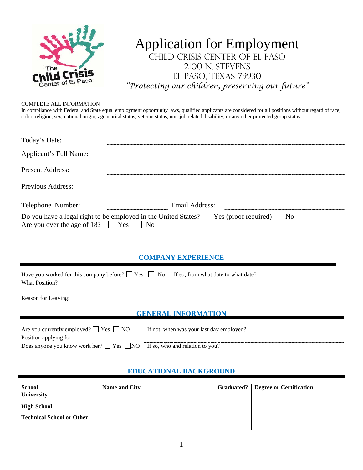

# Application for Employment Child Crisis Center of El Paso 2100 N. STEVENS El Paso, Texas 79930 *"Protecting our children, preserving our future"*

#### COMPLETE ALL INFORMATION

In compliance with Federal and State equal employment opportunity laws, qualified applicants are considered for all positions without regard of race, color, religion, sex, national origin, age marital status, veteran status, non-job related disability, or any other protected group status.

| Today's Date:                                    |                                                                                                      |
|--------------------------------------------------|------------------------------------------------------------------------------------------------------|
| Applicant's Full Name:                           |                                                                                                      |
| Present Address:                                 |                                                                                                      |
| Previous Address:                                |                                                                                                      |
| Telephone Number:                                | Email Address:                                                                                       |
| Are you over the age of 18? $\Box$ Yes $\Box$ No | Do you have a legal right to be employed in the United States? $\Box$ Yes (proof required) $\Box$ No |

#### **COMPANY EXPERIENCE**

| Have you worked for this company before? $\Box$ Yes $\Box$ No If so, from what date to what date? |  |
|---------------------------------------------------------------------------------------------------|--|
| What Position?                                                                                    |  |

Reason for Leaving:

#### **GENERAL INFORMATION**

| Are you currently employed? $\Box$ Yes $\Box$ NO                                    | If not, when was your last day employed? |
|-------------------------------------------------------------------------------------|------------------------------------------|
| Position applying for:                                                              |                                          |
| Does anyone you know work her? $\Box$ Yes $\Box$ NO If so, who and relation to you? |                                          |

### **EDUCATIONAL BACKGROUND**

| <b>School</b>                    | Name and City | <b>Graduated?</b> Degree or Certification |
|----------------------------------|---------------|-------------------------------------------|
| <b>University</b>                |               |                                           |
| <b>High School</b>               |               |                                           |
| <b>Technical School or Other</b> |               |                                           |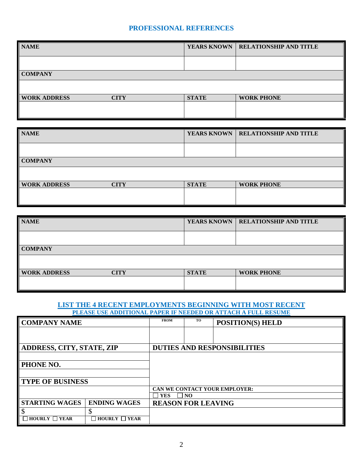## **PROFESSIONAL REFERENCES**

| <b>NAME</b>         |             |              | <b>YEARS KNOWN   RELATIONSHIP AND TITLE</b> |
|---------------------|-------------|--------------|---------------------------------------------|
|                     |             |              |                                             |
| <b>COMPANY</b>      |             |              |                                             |
|                     |             |              |                                             |
| <b>WORK ADDRESS</b> | <b>CITY</b> | <b>STATE</b> | <b>WORK PHONE</b>                           |
|                     |             |              |                                             |

| <b>NAME</b>         |             |              | YEARS KNOWN   RELATIONSHIP AND TITLE |
|---------------------|-------------|--------------|--------------------------------------|
|                     |             |              |                                      |
| <b>COMPANY</b>      |             |              |                                      |
|                     |             |              |                                      |
| <b>WORK ADDRESS</b> | <b>CITY</b> | <b>STATE</b> | <b>WORK PHONE</b>                    |
|                     |             |              |                                      |

| <b>NAME</b>         |      |              | <b>YEARS KNOWN   RELATIONSHIP AND TITLE</b> |
|---------------------|------|--------------|---------------------------------------------|
|                     |      |              |                                             |
| <b>COMPANY</b>      |      |              |                                             |
|                     |      |              |                                             |
| <b>WORK ADDRESS</b> | CITY | <b>STATE</b> | <b>WORK PHONE</b>                           |
|                     |      |              |                                             |

#### **LIST THE 4 RECENT EMPLOYMENTS BEGINNING WITH MOST RECENT PLEASE USE ADDITIONAL PAPER IF NEEDED OR ATTACH A FULL RESUME**

| <b>COMPANY NAME</b>                                                       |                               | <b>FROM</b>                   | <b>TO</b> | <b>POSITION(S) HELD</b>            |
|---------------------------------------------------------------------------|-------------------------------|-------------------------------|-----------|------------------------------------|
|                                                                           |                               |                               |           |                                    |
|                                                                           |                               |                               |           |                                    |
| <b>ADDRESS, CITY, STATE, ZIP</b>                                          |                               |                               |           | <b>DUTIES AND RESPONSIBILITIES</b> |
|                                                                           |                               |                               |           |                                    |
| PHONE NO.                                                                 |                               |                               |           |                                    |
|                                                                           |                               |                               |           |                                    |
| <b>TYPE OF BUSINESS</b>                                                   |                               |                               |           |                                    |
|                                                                           |                               | CAN WE CONTACT YOUR EMPLOYER: |           |                                    |
|                                                                           |                               | <b>YES</b>                    | ] NO      |                                    |
| <b>STARTING WAGES</b>                                                     | <b>ENDING WAGES</b>           | <b>REASON FOR LEAVING</b>     |           |                                    |
|                                                                           |                               |                               |           |                                    |
| $HOURLY \t\t\t\t\t\t\t\t\t\t\t\t\t\t\t\t\t\t\t\t\t\t\t\t\t\t\t\t\t\tYEAR$ | $\sqcap$ hourly $\sqcap$ year |                               |           |                                    |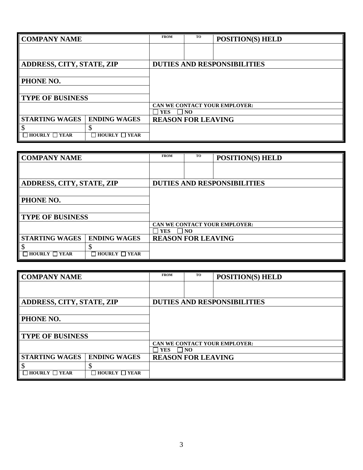| <b>COMPANY NAME</b>              |                         | <b>FROM</b>               | TO  | <b>POSITION(S) HELD</b>            |
|----------------------------------|-------------------------|---------------------------|-----|------------------------------------|
|                                  |                         |                           |     |                                    |
|                                  |                         |                           |     |                                    |
| <b>ADDRESS, CITY, STATE, ZIP</b> |                         |                           |     | <b>DUTIES AND RESPONSIBILITIES</b> |
|                                  |                         |                           |     |                                    |
| <b>PHONE NO.</b>                 |                         |                           |     |                                    |
|                                  |                         |                           |     |                                    |
| <b>TYPE OF BUSINESS</b>          |                         |                           |     |                                    |
|                                  |                         |                           |     | CAN WE CONTACT YOUR EMPLOYER:      |
|                                  |                         | <b>YES</b>                | NO. |                                    |
| <b>STARTING WAGES</b>            | <b>ENDING WAGES</b>     | <b>REASON FOR LEAVING</b> |     |                                    |
|                                  |                         |                           |     |                                    |
| $\Box$ HOURLY $\Box$ YEAR        | HOURLY $\Box$ YEAR<br>П |                           |     |                                    |

| <b>COMPANY NAME</b>                                       | <b>FROM</b>               | <b>TO</b> | <b>POSITION(S) HELD</b>            |
|-----------------------------------------------------------|---------------------------|-----------|------------------------------------|
|                                                           |                           |           |                                    |
|                                                           |                           |           |                                    |
| <b>ADDRESS, CITY, STATE, ZIP</b>                          |                           |           | <b>DUTIES AND RESPONSIBILITIES</b> |
|                                                           |                           |           |                                    |
| PHONE NO.                                                 |                           |           |                                    |
|                                                           |                           |           |                                    |
| <b>TYPE OF BUSINESS</b>                                   |                           |           |                                    |
|                                                           |                           |           | CAN WE CONTACT YOUR EMPLOYER:      |
|                                                           | <b>YES</b>                | NO.       |                                    |
| <b>STARTING WAGES</b><br><b>ENDING WAGES</b>              | <b>REASON FOR LEAVING</b> |           |                                    |
| \$<br>D                                                   |                           |           |                                    |
| $\exists$ HOURLY $\Box$ YEAR<br>$\Box$ HOURLY $\Box$ YEAR |                           |           |                                    |

| <b>COMPANY NAME</b>                                                       |                     | <b>FROM</b>                  | TO | <b>POSITION(S) HELD</b>       |
|---------------------------------------------------------------------------|---------------------|------------------------------|----|-------------------------------|
|                                                                           |                     |                              |    |                               |
|                                                                           |                     |                              |    |                               |
| <b>ADDRESS, CITY, STATE, ZIP</b>                                          |                     |                              |    | DUTIES AND RESPONSIBILITIES   |
|                                                                           |                     |                              |    |                               |
| PHONE NO.                                                                 |                     |                              |    |                               |
|                                                                           |                     |                              |    |                               |
| <b>TYPE OF BUSINESS</b>                                                   |                     |                              |    |                               |
|                                                                           |                     |                              |    | CAN WE CONTACT YOUR EMPLOYER: |
|                                                                           |                     | <b>YES</b><br>$\overline{N}$ |    |                               |
| <b>STARTING WAGES</b>                                                     | <b>ENDING WAGES</b> | <b>REASON FOR LEAVING</b>    |    |                               |
| \$                                                                        | \$                  |                              |    |                               |
| $HOURLY \t\t\t\t\t\t\t\t\t\t\t\t\t\t\t\t\t\t\t\t\t\t\t\t\t\t\t\t\t\tYEAR$ | HOURLY $\Box$ YEAR  |                              |    |                               |